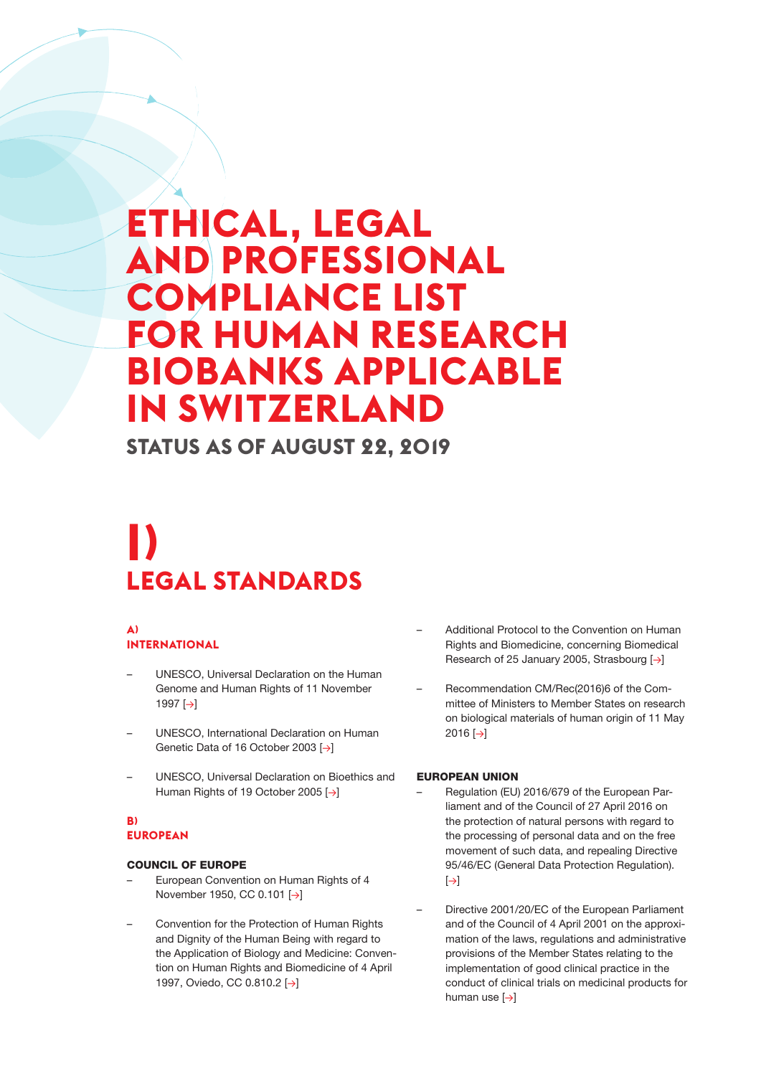### **ETHICAL, LEGAL AND PROFESSIONAL COMPLIANCE LIST FOR HUMAN RESEARCH BIOBANKS APPLICABLE IN SWITZERLAND**

**STATUS AS OF AUGUST 22, 2019** 

# **I) LEGAL STANDARDS**

#### **A) INTERNATIONAL**

- UNESCO, Universal Declaration on the Human Genome and Human Rights of 11 November 1997 [→]
- UNESCO, International Declaration on Human Genetic Data of 16 October 2003 [→]
- UNESCO, Universal Declaration on Bioethics and Human Rights of 19 October 2005 [→]

#### **B) EUROPEAN**

#### COUNCIL OF EUROPE

- European Convention on Human Rights of 4 November 1950, CC 0.101 [→]
- Convention for the Protection of Human Rights and Dignity of the Human Being with regard to the Application of Biology and Medicine: Convention on Human Rights and Biomedicine of 4 April 1997, Oviedo, CC 0.810.2 [→]
- Additional Protocol to the Convention on Human Rights and Biomedicine, concerning Biomedical Research of 25 January 2005, Strasbourg [→]
- Recommendation CM/Rec(2016)6 of the Committee of Ministers to Member States on research on biological materials of human origin of 11 May 2016 [→]

#### EUROPEAN UNION

- Regulation (EU) 2016/679 of the European Parliament and of the Council of 27 April 2016 on the protection of natural persons with regard to the processing of personal data and on the free movement of such data, and repealing Directive 95/46/EC (General Data Protection Regulation).  $[\rightarrow]$
- Directive 2001/20/EC of the European Parliament and of the Council of 4 April 2001 on the approximation of the laws, regulations and administrative provisions of the Member States relating to the implementation of good clinical practice in the conduct of clinical trials on medicinal products for human use [→]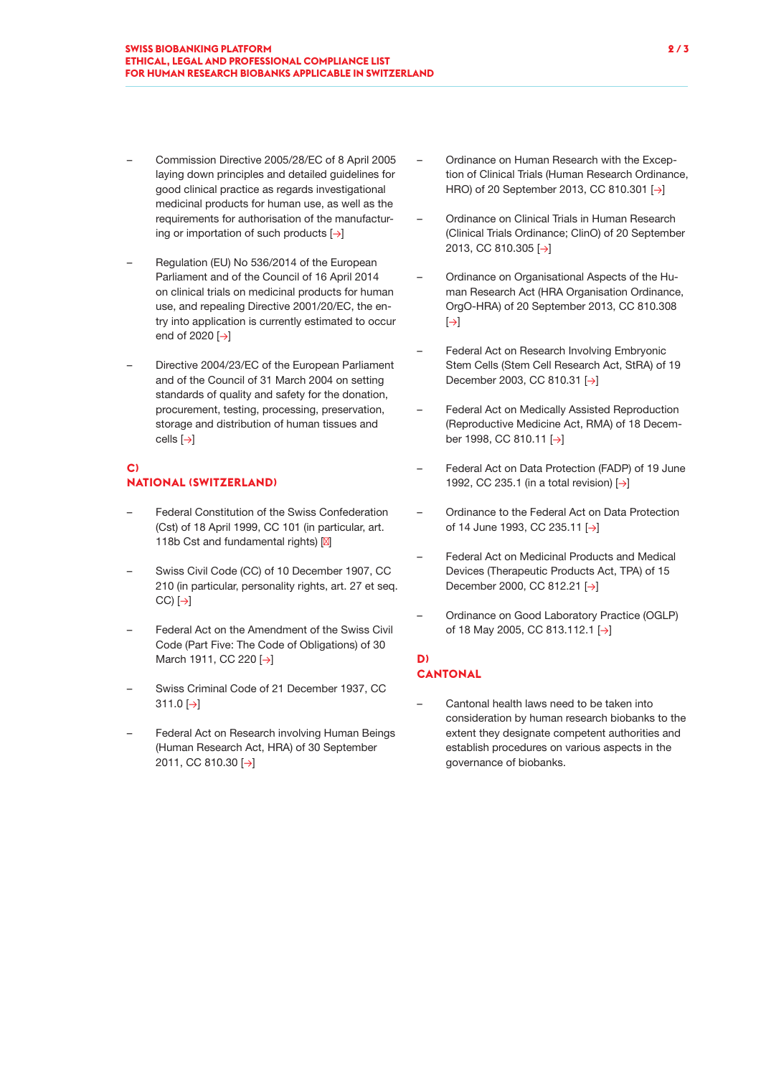- Commission Directive 2005/28/EC of 8 April 2005 laying down principles and detailed guidelines for good clinical practice as regards investigational medicinal products for human use, as well as the requirements for authorisation of the manufacturing or importation of such products [→]
- Regulation (EU) No 536/2014 of the European Parliament and of the Council of 16 April 2014 on clinical trials on medicinal products for human use, and repealing Directive 2001/20/EC, the entry into application is currently estimated to occur end of 2020  $\rightarrow$
- Directive 2004/23/EC of the European Parliament and of the Council of 31 March 2004 on setting standards of quality and safety for the donation, procurement, testing, processing, preservation, storage and distribution of human tissues and cells [→]

#### **C) NATIONAL (SWITZERLAND)**

- Federal Constitution of the Swiss Confederation (Cst) of 18 April 1999, CC 101 (in particular, art. 118b Cst and fundamental rights) [ ]
- Swiss Civil Code (CC) of 10 December 1907, CC 210 (in particular, personality rights, art. 27 et seq.  $CC$ )  $\rightarrow$
- Federal Act on the Amendment of the Swiss Civil Code (Part Five: The Code of Obligations) of 30 March 1911, CC 220 [→]
- Swiss Criminal Code of 21 December 1937, CC  $311.0$  [ $\rightarrow$ ]
- Federal Act on Research involving Human Beings (Human Research Act, HRA) of 30 September 2011, CC 810.30 [→]
- Ordinance on Human Research with the Exception of Clinical Trials (Human Research Ordinance, HRO) of 20 September 2013, CC 810.301 [→]
- Ordinance on Clinical Trials in Human Research (Clinical Trials Ordinance; ClinO) of 20 September 2013, CC 810.305 [→]
- Ordinance on Organisational Aspects of the Human Research Act (HRA Organisation Ordinance, OrgO-HRA) of 20 September 2013, CC 810.308  $[\rightarrow]$
- Federal Act on Research Involving Embryonic Stem Cells (Stem Cell Research Act, StRA) of 19 December 2003, CC 810.31 [→]
- Federal Act on Medically Assisted Reproduction (Reproductive Medicine Act, RMA) of 18 December 1998, CC 810.11 [→]
- Federal Act on Data Protection (FADP) of 19 June 1992, CC 235.1 (in a total revision) [→]
- Ordinance to the Federal Act on Data Protection of 14 June 1993, CC 235.11 [→]
- Federal Act on Medicinal Products and Medical Devices (Therapeutic Products Act, TPA) of 15 December 2000, CC 812.21 [→]
- Ordinance on Good Laboratory Practice (OGLP) of 18 May 2005, CC 813.112.1 [→]

### **D)**

#### **CANTONAL**

– Cantonal health laws need to be taken into consideration by human research biobanks to the extent they designate competent authorities and establish procedures on various aspects in the governance of biobanks.